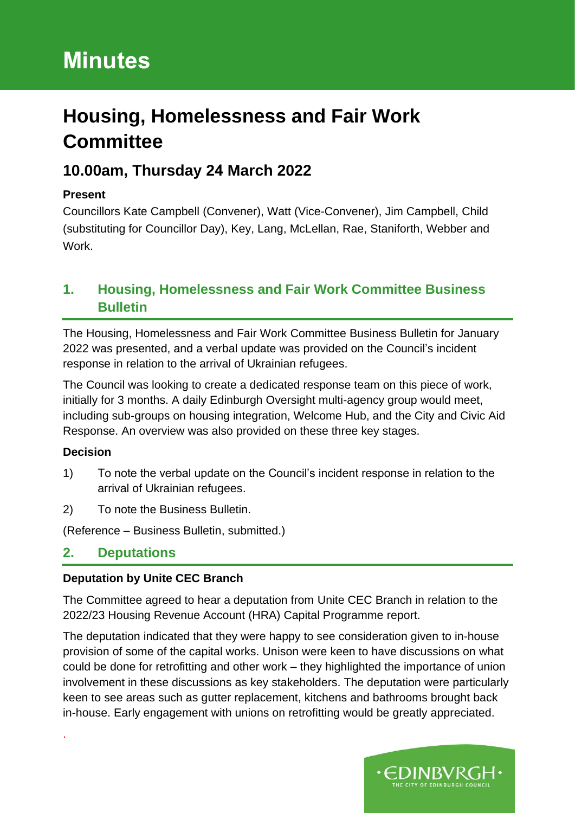# **Minutes**

# **Housing, Homelessness and Fair Work Committee**

# **10.00am, Thursday 24 March 2022**

## **Present**

Councillors Kate Campbell (Convener), Watt (Vice-Convener), Jim Campbell, Child (substituting for Councillor Day), Key, Lang, McLellan, Rae, Staniforth, Webber and Work.

## **1. Housing, Homelessness and Fair Work Committee Business Bulletin**

The Housing, Homelessness and Fair Work Committee Business Bulletin for January 2022 was presented, and a verbal update was provided on the Council's incident response in relation to the arrival of Ukrainian refugees.

The Council was looking to create a dedicated response team on this piece of work, initially for 3 months. A daily Edinburgh Oversight multi-agency group would meet, including sub-groups on housing integration, Welcome Hub, and the City and Civic Aid Response. An overview was also provided on these three key stages.

## **Decision**

.

- 1) To note the verbal update on the Council's incident response in relation to the arrival of Ukrainian refugees.
- 2) To note the Business Bulletin.

(Reference – Business Bulletin, submitted.)

## **2. Deputations**

## **Deputation by Unite CEC Branch**

The Committee agreed to hear a deputation from Unite CEC Branch in relation to the 2022/23 Housing Revenue Account (HRA) Capital Programme report.

The deputation indicated that they were happy to see consideration given to in-house provision of some of the capital works. Unison were keen to have discussions on what could be done for retrofitting and other work – they highlighted the importance of union involvement in these discussions as key stakeholders. The deputation were particularly keen to see areas such as gutter replacement, kitchens and bathrooms brought back in-house. Early engagement with unions on retrofitting would be greatly appreciated.

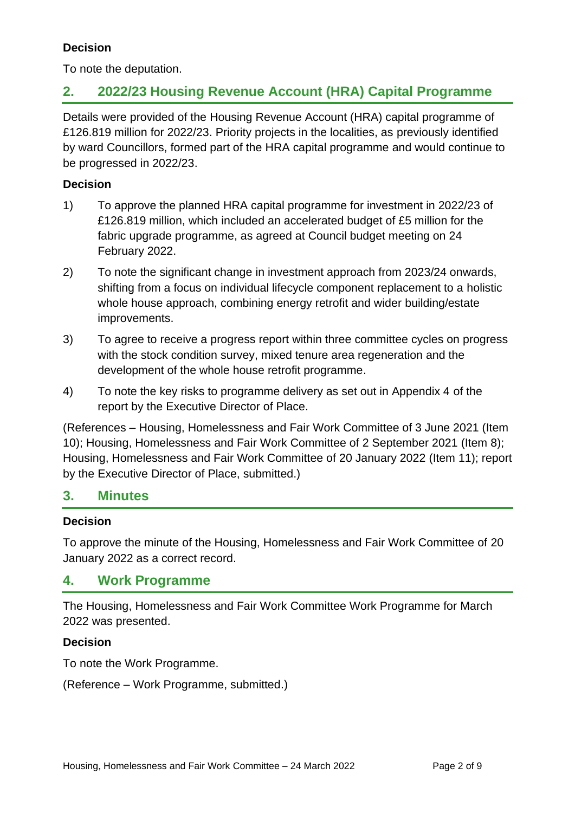## **Decision**

To note the deputation.

## **2. 2022/23 Housing Revenue Account (HRA) Capital Programme**

Details were provided of the Housing Revenue Account (HRA) capital programme of £126.819 million for 2022/23. Priority projects in the localities, as previously identified by ward Councillors, formed part of the HRA capital programme and would continue to be progressed in 2022/23.

#### **Decision**

- 1) To approve the planned HRA capital programme for investment in 2022/23 of £126.819 million, which included an accelerated budget of £5 million for the fabric upgrade programme, as agreed at Council budget meeting on 24 February 2022.
- 2) To note the significant change in investment approach from 2023/24 onwards, shifting from a focus on individual lifecycle component replacement to a holistic whole house approach, combining energy retrofit and wider building/estate improvements.
- 3) To agree to receive a progress report within three committee cycles on progress with the stock condition survey, mixed tenure area regeneration and the development of the whole house retrofit programme.
- 4) To note the key risks to programme delivery as set out in Appendix 4 of the report by the Executive Director of Place.

(References – Housing, Homelessness and Fair Work Committee of 3 June 2021 (Item 10); Housing, Homelessness and Fair Work Committee of 2 September 2021 (Item 8); Housing, Homelessness and Fair Work Committee of 20 January 2022 (Item 11); report by the Executive Director of Place, submitted.)

## **3. Minutes**

#### **Decision**

To approve the minute of the Housing, Homelessness and Fair Work Committee of 20 January 2022 as a correct record.

## **4. Work Programme**

The Housing, Homelessness and Fair Work Committee Work Programme for March 2022 was presented.

#### **Decision**

To note the Work Programme.

(Reference – Work Programme, submitted.)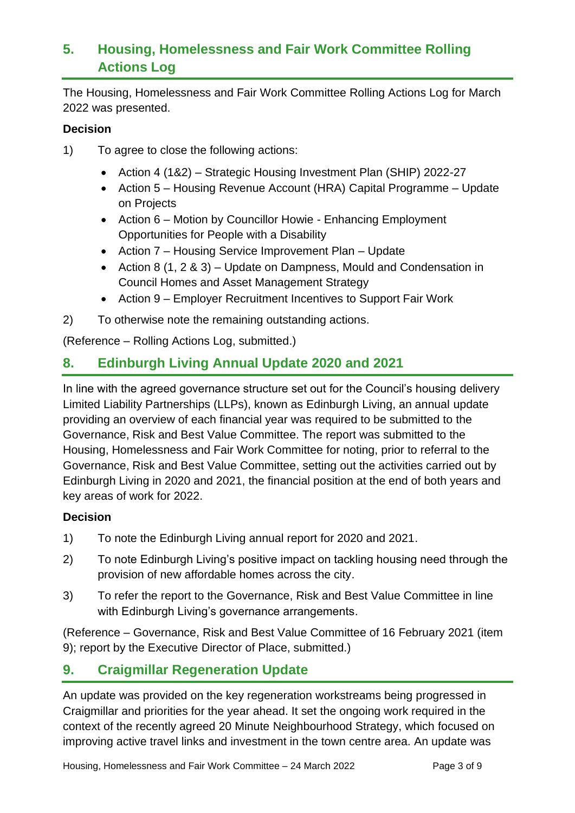## **5. Housing, Homelessness and Fair Work Committee Rolling Actions Log**

The Housing, Homelessness and Fair Work Committee Rolling Actions Log for March 2022 was presented.

#### **Decision**

- 1) To agree to close the following actions:
	- Action 4 (1&2) Strategic Housing Investment Plan (SHIP) 2022-27
	- Action 5 Housing Revenue Account (HRA) Capital Programme Update on Projects
	- Action 6 Motion by Councillor Howie Enhancing Employment Opportunities for People with a Disability
	- Action 7 Housing Service Improvement Plan Update
	- Action 8 (1, 2 & 3) Update on Dampness, Mould and Condensation in Council Homes and Asset Management Strategy
	- Action 9 Employer Recruitment Incentives to Support Fair Work
- 2) To otherwise note the remaining outstanding actions.

(Reference – Rolling Actions Log, submitted.)

## **8. Edinburgh Living Annual Update 2020 and 2021**

In line with the agreed governance structure set out for the Council's housing delivery Limited Liability Partnerships (LLPs), known as Edinburgh Living, an annual update providing an overview of each financial year was required to be submitted to the Governance, Risk and Best Value Committee. The report was submitted to the Housing, Homelessness and Fair Work Committee for noting, prior to referral to the Governance, Risk and Best Value Committee, setting out the activities carried out by Edinburgh Living in 2020 and 2021, the financial position at the end of both years and key areas of work for 2022.

#### **Decision**

- 1) To note the Edinburgh Living annual report for 2020 and 2021.
- 2) To note Edinburgh Living's positive impact on tackling housing need through the provision of new affordable homes across the city.
- 3) To refer the report to the Governance, Risk and Best Value Committee in line with Edinburgh Living's governance arrangements.

(Reference – Governance, Risk and Best Value Committee of 16 February 2021 (item 9); report by the Executive Director of Place, submitted.)

## **9. Craigmillar Regeneration Update**

An update was provided on the key regeneration workstreams being progressed in Craigmillar and priorities for the year ahead. It set the ongoing work required in the context of the recently agreed 20 Minute Neighbourhood Strategy, which focused on improving active travel links and investment in the town centre area. An update was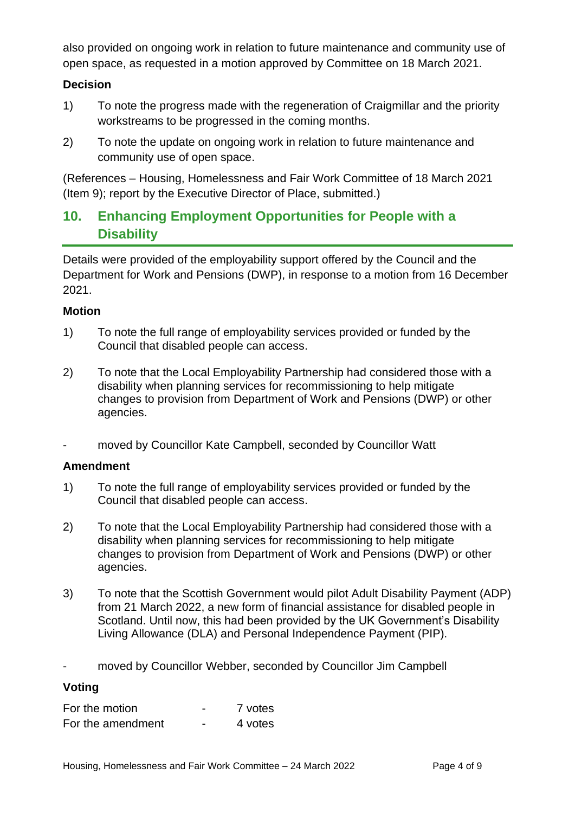also provided on ongoing work in relation to future maintenance and community use of open space, as requested in a motion approved by Committee on 18 March 2021.

#### **Decision**

- 1) To note the progress made with the regeneration of Craigmillar and the priority workstreams to be progressed in the coming months.
- 2) To note the update on ongoing work in relation to future maintenance and community use of open space.

(References – Housing, Homelessness and Fair Work Committee of 18 March 2021 (Item 9); report by the Executive Director of Place, submitted.)

## **10. Enhancing Employment Opportunities for People with a Disability**

Details were provided of the employability support offered by the Council and the Department for Work and Pensions (DWP), in response to a motion from 16 December 2021.

#### **Motion**

- 1) To note the full range of employability services provided or funded by the Council that disabled people can access.
- 2) To note that the Local Employability Partnership had considered those with a disability when planning services for recommissioning to help mitigate changes to provision from Department of Work and Pensions (DWP) or other agencies.
- moved by Councillor Kate Campbell, seconded by Councillor Watt

#### **Amendment**

- 1) To note the full range of employability services provided or funded by the Council that disabled people can access.
- 2) To note that the Local Employability Partnership had considered those with a disability when planning services for recommissioning to help mitigate changes to provision from Department of Work and Pensions (DWP) or other agencies.
- 3) To note that the Scottish Government would pilot Adult Disability Payment (ADP) from 21 March 2022, a new form of financial assistance for disabled people in Scotland. Until now, this had been provided by the UK Government's Disability Living Allowance (DLA) and Personal Independence Payment (PIP).
- moved by Councillor Webber, seconded by Councillor Jim Campbell

#### **Voting**

| For the motion    | 7 votes |
|-------------------|---------|
| For the amendment | 4 votes |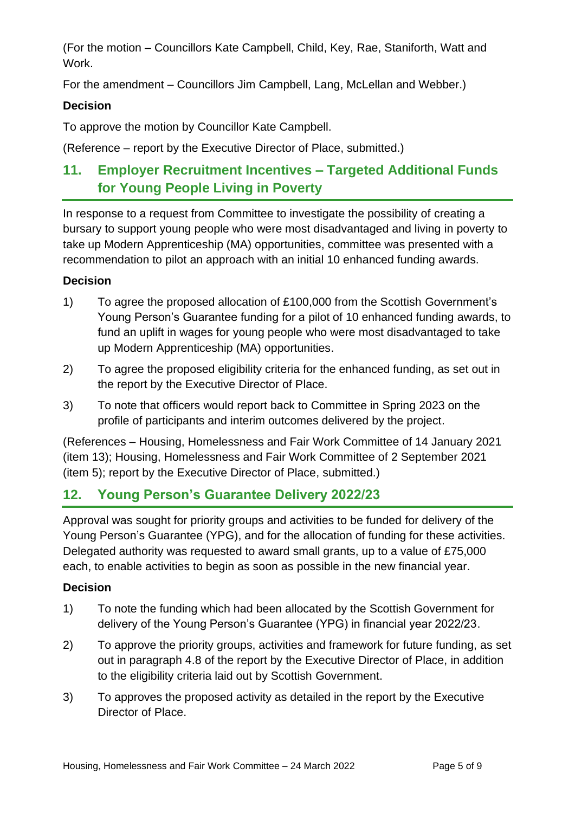(For the motion – Councillors Kate Campbell, Child, Key, Rae, Staniforth, Watt and Work.

For the amendment – Councillors Jim Campbell, Lang, McLellan and Webber.)

#### **Decision**

To approve the motion by Councillor Kate Campbell.

(Reference – report by the Executive Director of Place, submitted.)

# **11. Employer Recruitment Incentives – Targeted Additional Funds for Young People Living in Poverty**

In response to a request from Committee to investigate the possibility of creating a bursary to support young people who were most disadvantaged and living in poverty to take up Modern Apprenticeship (MA) opportunities, committee was presented with a recommendation to pilot an approach with an initial 10 enhanced funding awards.

#### **Decision**

- 1) To agree the proposed allocation of £100,000 from the Scottish Government's Young Person's Guarantee funding for a pilot of 10 enhanced funding awards, to fund an uplift in wages for young people who were most disadvantaged to take up Modern Apprenticeship (MA) opportunities.
- 2) To agree the proposed eligibility criteria for the enhanced funding, as set out in the report by the Executive Director of Place.
- 3) To note that officers would report back to Committee in Spring 2023 on the profile of participants and interim outcomes delivered by the project.

(References – Housing, Homelessness and Fair Work Committee of 14 January 2021 (item 13); Housing, Homelessness and Fair Work Committee of 2 September 2021 (item 5); report by the Executive Director of Place, submitted.)

## **12. Young Person's Guarantee Delivery 2022/23**

Approval was sought for priority groups and activities to be funded for delivery of the Young Person's Guarantee (YPG), and for the allocation of funding for these activities. Delegated authority was requested to award small grants, up to a value of £75,000 each, to enable activities to begin as soon as possible in the new financial year.

## **Decision**

- 1) To note the funding which had been allocated by the Scottish Government for delivery of the Young Person's Guarantee (YPG) in financial year 2022/23.
- 2) To approve the priority groups, activities and framework for future funding, as set out in paragraph 4.8 of the report by the Executive Director of Place, in addition to the eligibility criteria laid out by Scottish Government.
- 3) To approves the proposed activity as detailed in the report by the Executive Director of Place.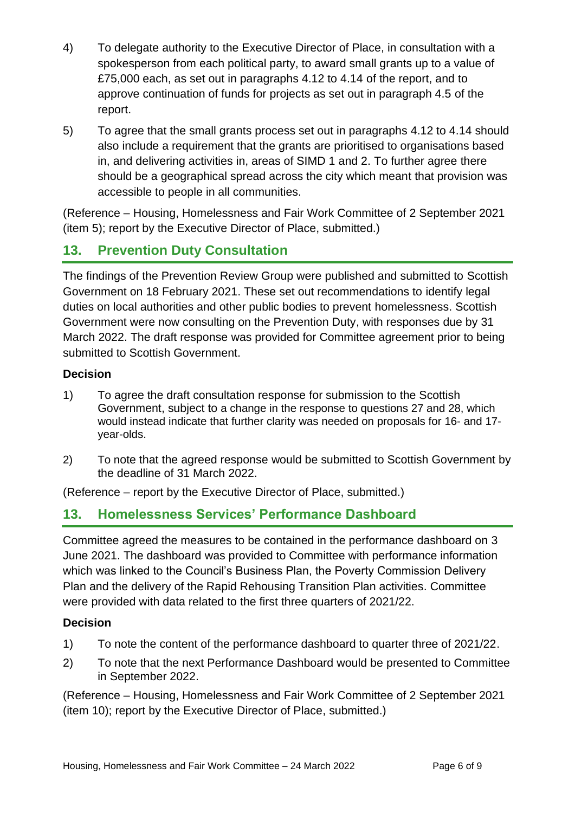- 4) To delegate authority to the Executive Director of Place, in consultation with a spokesperson from each political party, to award small grants up to a value of £75,000 each, as set out in paragraphs 4.12 to 4.14 of the report, and to approve continuation of funds for projects as set out in paragraph 4.5 of the report.
- 5) To agree that the small grants process set out in paragraphs 4.12 to 4.14 should also include a requirement that the grants are prioritised to organisations based in, and delivering activities in, areas of SIMD 1 and 2. To further agree there should be a geographical spread across the city which meant that provision was accessible to people in all communities.

(Reference – Housing, Homelessness and Fair Work Committee of 2 September 2021 (item 5); report by the Executive Director of Place, submitted.)

# **13. Prevention Duty Consultation**

The findings of the Prevention Review Group were published and submitted to Scottish Government on 18 February 2021. These set out recommendations to identify legal duties on local authorities and other public bodies to prevent homelessness. Scottish Government were now consulting on the Prevention Duty, with responses due by 31 March 2022. The draft response was provided for Committee agreement prior to being submitted to Scottish Government.

#### **Decision**

- 1) To agree the draft consultation response for submission to the Scottish Government, subject to a change in the response to questions 27 and 28, which would instead indicate that further clarity was needed on proposals for 16- and 17 year-olds.
- 2) To note that the agreed response would be submitted to Scottish Government by the deadline of 31 March 2022.

(Reference – report by the Executive Director of Place, submitted.)

## **13. Homelessness Services' Performance Dashboard**

Committee agreed the measures to be contained in the performance dashboard on 3 June 2021. The dashboard was provided to Committee with performance information which was linked to the Council's Business Plan, the Poverty Commission Delivery Plan and the delivery of the Rapid Rehousing Transition Plan activities. Committee were provided with data related to the first three quarters of 2021/22.

## **Decision**

- 1) To note the content of the performance dashboard to quarter three of 2021/22.
- 2) To note that the next Performance Dashboard would be presented to Committee in September 2022.

(Reference – Housing, Homelessness and Fair Work Committee of 2 September 2021 (item 10); report by the Executive Director of Place, submitted.)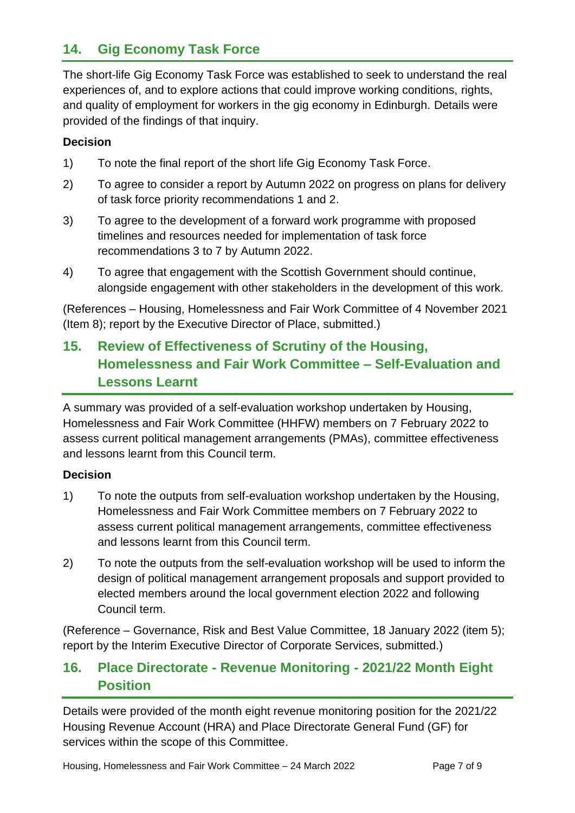## **14. Gig Economy Task Force**

The short-life Gig Economy Task Force was established to seek to understand the real experiences of, and to explore actions that could improve working conditions, rights, and quality of employment for workers in the gig economy in Edinburgh. Details were provided of the findings of that inquiry.

#### **Decision**

- 1) To note the final report of the short life Gig Economy Task Force.
- 2) To agree to consider a report by Autumn 2022 on progress on plans for delivery of task force priority recommendations 1 and 2.
- 3) To agree to the development of a forward work programme with proposed timelines and resources needed for implementation of task force recommendations 3 to 7 by Autumn 2022.
- 4) To agree that engagement with the Scottish Government should continue, alongside engagement with other stakeholders in the development of this work.

(References – Housing, Homelessness and Fair Work Committee of 4 November 2021 (Item 8); report by the Executive Director of Place, submitted.)

# **15. Review of Effectiveness of Scrutiny of the Housing, Homelessness and Fair Work Committee – Self-Evaluation and Lessons Learnt**

A summary was provided of a self-evaluation workshop undertaken by Housing, Homelessness and Fair Work Committee (HHFW) members on 7 February 2022 to assess current political management arrangements (PMAs), committee effectiveness and lessons learnt from this Council term.

#### **Decision**

- 1) To note the outputs from self-evaluation workshop undertaken by the Housing, Homelessness and Fair Work Committee members on 7 February 2022 to assess current political management arrangements, committee effectiveness and lessons learnt from this Council term.
- 2) To note the outputs from the self-evaluation workshop will be used to inform the design of political management arrangement proposals and support provided to elected members around the local government election 2022 and following Council term.

(Reference – Governance, Risk and Best Value Committee, 18 January 2022 (item 5); report by the Interim Executive Director of Corporate Services, submitted.)

## **16. Place Directorate - Revenue Monitoring - 2021/22 Month Eight Position**

Details were provided of the month eight revenue monitoring position for the 2021/22 Housing Revenue Account (HRA) and Place Directorate General Fund (GF) for services within the scope of this Committee.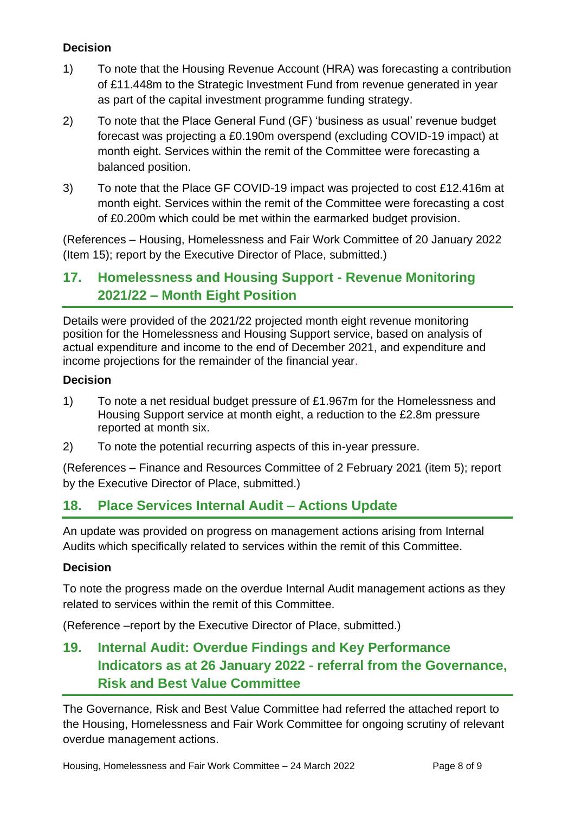## **Decision**

- 1) To note that the Housing Revenue Account (HRA) was forecasting a contribution of £11.448m to the Strategic Investment Fund from revenue generated in year as part of the capital investment programme funding strategy.
- 2) To note that the Place General Fund (GF) 'business as usual' revenue budget forecast was projecting a £0.190m overspend (excluding COVID-19 impact) at month eight. Services within the remit of the Committee were forecasting a balanced position.
- 3) To note that the Place GF COVID-19 impact was projected to cost £12.416m at month eight. Services within the remit of the Committee were forecasting a cost of £0.200m which could be met within the earmarked budget provision.

(References – Housing, Homelessness and Fair Work Committee of 20 January 2022 (Item 15); report by the Executive Director of Place, submitted.)

## **17. Homelessness and Housing Support - Revenue Monitoring 2021/22 – Month Eight Position**

Details were provided of the 2021/22 projected month eight revenue monitoring position for the Homelessness and Housing Support service, based on analysis of actual expenditure and income to the end of December 2021, and expenditure and income projections for the remainder of the financial year.

#### **Decision**

- 1) To note a net residual budget pressure of £1.967m for the Homelessness and Housing Support service at month eight, a reduction to the £2.8m pressure reported at month six.
- 2) To note the potential recurring aspects of this in-year pressure.

(References – Finance and Resources Committee of 2 February 2021 (item 5); report by the Executive Director of Place, submitted.)

## **18. Place Services Internal Audit – Actions Update**

An update was provided on progress on management actions arising from Internal Audits which specifically related to services within the remit of this Committee.

#### **Decision**

To note the progress made on the overdue Internal Audit management actions as they related to services within the remit of this Committee.

(Reference –report by the Executive Director of Place, submitted.)

## **19. Internal Audit: Overdue Findings and Key Performance Indicators as at 26 January 2022 - referral from the Governance, Risk and Best Value Committee**

The Governance, Risk and Best Value Committee had referred the attached report to the Housing, Homelessness and Fair Work Committee for ongoing scrutiny of relevant overdue management actions.